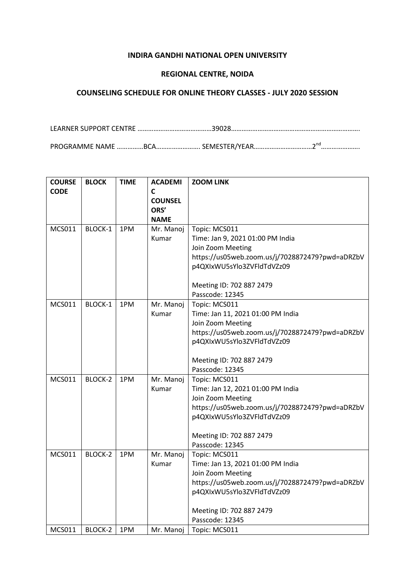## **INDIRA GANDHI NATIONAL OPEN UNIVERSITY**

## **REGIONAL CENTRE, NOIDA**

## **COUNSELING SCHEDULE FOR ONLINE THEORY CLASSES - JULY 2020 SESSION**

LEARNER SUPPORT CENTRE ……………………………………39028………………………………………………………………. PROGRAMME NAME ……………BCA……………………… SEMESTER/YEAR………………………………2<sup>nd</sup>……………………

| <b>COURSE</b> | <b>BLOCK</b>   | <b>TIME</b> | <b>ACADEMI</b> | <b>ZOOM LINK</b>                                   |
|---------------|----------------|-------------|----------------|----------------------------------------------------|
| <b>CODE</b>   |                |             | C              |                                                    |
|               |                |             | <b>COUNSEL</b> |                                                    |
|               |                |             | ORS'           |                                                    |
|               |                |             | <b>NAME</b>    |                                                    |
| <b>MCS011</b> | BLOCK-1        | 1PM         | Mr. Manoj      | Topic: MCS011                                      |
|               |                |             | Kumar          | Time: Jan 9, 2021 01:00 PM India                   |
|               |                |             |                | Join Zoom Meeting                                  |
|               |                |             |                | https://us05web.zoom.us/j/7028872479?pwd=aDRZbV    |
|               |                |             |                | p4QXIxWU5sYlo3ZVFldTdVZz09                         |
|               |                |             |                | Meeting ID: 702 887 2479                           |
|               |                |             |                | Passcode: 12345                                    |
| <b>MCS011</b> | BLOCK-1        | 1PM         | Mr. Manoj      | Topic: MCS011                                      |
|               |                |             | Kumar          | Time: Jan 11, 2021 01:00 PM India                  |
|               |                |             |                | Join Zoom Meeting                                  |
|               |                |             |                | https://us05web.zoom.us/j/7028872479?pwd=aDRZbV    |
|               |                |             |                | p4QXIxWU5sYlo3ZVFldTdVZz09                         |
|               |                |             |                |                                                    |
|               |                |             |                | Meeting ID: 702 887 2479                           |
|               |                |             |                | Passcode: 12345                                    |
| <b>MCS011</b> | <b>BLOCK-2</b> | 1PM         | Mr. Manoj      | Topic: MCS011                                      |
|               |                |             | Kumar          | Time: Jan 12, 2021 01:00 PM India                  |
|               |                |             |                | Join Zoom Meeting                                  |
|               |                |             |                | https://us05web.zoom.us/j/7028872479?pwd=aDRZbV    |
|               |                |             |                | p4QXIxWU5sYlo3ZVFldTdVZz09                         |
|               |                |             |                |                                                    |
|               |                |             |                | Meeting ID: 702 887 2479<br>Passcode: 12345        |
| <b>MCS011</b> | <b>BLOCK-2</b> | 1PM         | Mr. Manoj      |                                                    |
|               |                |             | Kumar          | Topic: MCS011<br>Time: Jan 13, 2021 01:00 PM India |
|               |                |             |                | Join Zoom Meeting                                  |
|               |                |             |                | https://us05web.zoom.us/j/7028872479?pwd=aDRZbV    |
|               |                |             |                | p4QXIxWU5sYlo3ZVFldTdVZz09                         |
|               |                |             |                |                                                    |
|               |                |             |                | Meeting ID: 702 887 2479                           |
|               |                |             |                | Passcode: 12345                                    |
| <b>MCS011</b> | BLOCK-2        | 1PM         | Mr. Manoj      | Topic: MCS011                                      |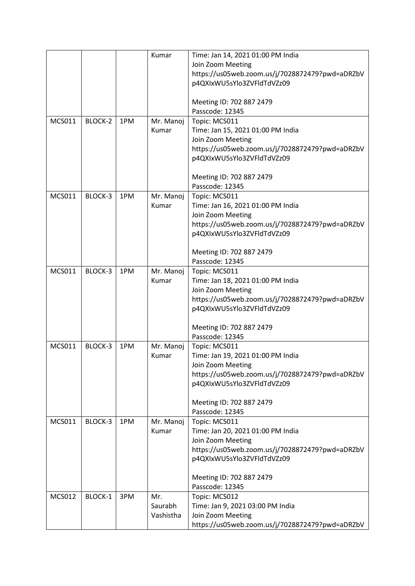|               |         |     | Kumar     | Time: Jan 14, 2021 01:00 PM India               |
|---------------|---------|-----|-----------|-------------------------------------------------|
|               |         |     |           | Join Zoom Meeting                               |
|               |         |     |           | https://us05web.zoom.us/j/7028872479?pwd=aDRZbV |
|               |         |     |           | p4QXIxWU5sYlo3ZVFldTdVZz09                      |
|               |         |     |           |                                                 |
|               |         |     |           | Meeting ID: 702 887 2479                        |
|               |         |     |           | Passcode: 12345                                 |
| <b>MCS011</b> | BLOCK-2 | 1PM | Mr. Manoj | Topic: MCS011                                   |
|               |         |     | Kumar     | Time: Jan 15, 2021 01:00 PM India               |
|               |         |     |           | Join Zoom Meeting                               |
|               |         |     |           | https://us05web.zoom.us/j/7028872479?pwd=aDRZbV |
|               |         |     |           | p4QXIxWU5sYlo3ZVFldTdVZz09                      |
|               |         |     |           |                                                 |
|               |         |     |           | Meeting ID: 702 887 2479                        |
|               |         |     |           | Passcode: 12345                                 |
| <b>MCS011</b> | BLOCK-3 | 1PM | Mr. Manoj | Topic: MCS011                                   |
|               |         |     | Kumar     | Time: Jan 16, 2021 01:00 PM India               |
|               |         |     |           | Join Zoom Meeting                               |
|               |         |     |           | https://us05web.zoom.us/j/7028872479?pwd=aDRZbV |
|               |         |     |           | p4QXIxWU5sYlo3ZVFldTdVZz09                      |
|               |         |     |           |                                                 |
|               |         |     |           | Meeting ID: 702 887 2479                        |
|               |         |     |           | Passcode: 12345                                 |
| <b>MCS011</b> | BLOCK-3 | 1PM | Mr. Manoj | Topic: MCS011                                   |
|               |         |     | Kumar     | Time: Jan 18, 2021 01:00 PM India               |
|               |         |     |           | Join Zoom Meeting                               |
|               |         |     |           | https://us05web.zoom.us/j/7028872479?pwd=aDRZbV |
|               |         |     |           | p4QXIxWU5sYlo3ZVFldTdVZz09                      |
|               |         |     |           |                                                 |
|               |         |     |           | Meeting ID: 702 887 2479                        |
|               |         |     |           | Passcode: 12345                                 |
| <b>MCS011</b> | BLOCK-3 | 1PM | Mr. Manoj | Topic: MCS011                                   |
|               |         |     | Kumar     | Time: Jan 19, 2021 01:00 PM India               |
|               |         |     |           | Join Zoom Meeting                               |
|               |         |     |           | https://us05web.zoom.us/j/7028872479?pwd=aDRZbV |
|               |         |     |           | p4QXIxWU5sYlo3ZVFldTdVZz09                      |
|               |         |     |           |                                                 |
|               |         |     |           | Meeting ID: 702 887 2479                        |
|               |         |     |           | Passcode: 12345                                 |
| <b>MCS011</b> | BLOCK-3 | 1PM | Mr. Manoj | Topic: MCS011                                   |
|               |         |     | Kumar     | Time: Jan 20, 2021 01:00 PM India               |
|               |         |     |           | Join Zoom Meeting                               |
|               |         |     |           | https://us05web.zoom.us/j/7028872479?pwd=aDRZbV |
|               |         |     |           | p4QXIxWU5sYlo3ZVFldTdVZz09                      |
|               |         |     |           |                                                 |
|               |         |     |           | Meeting ID: 702 887 2479<br>Passcode: 12345     |
| <b>MCS012</b> | BLOCK-1 | 3PM | Mr.       | Topic: MCS012                                   |
|               |         |     | Saurabh   | Time: Jan 9, 2021 03:00 PM India                |
|               |         |     | Vashistha | Join Zoom Meeting                               |
|               |         |     |           | https://us05web.zoom.us/j/7028872479?pwd=aDRZbV |
|               |         |     |           |                                                 |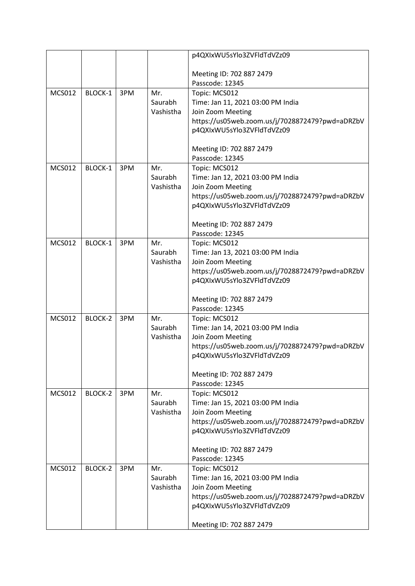|               |         |     |           | p4QXIxWU5sYlo3ZVFldTdVZz09                      |
|---------------|---------|-----|-----------|-------------------------------------------------|
|               |         |     |           |                                                 |
|               |         |     |           | Meeting ID: 702 887 2479                        |
|               |         |     |           | Passcode: 12345                                 |
| <b>MCS012</b> | BLOCK-1 | 3PM | Mr.       | Topic: MCS012                                   |
|               |         |     | Saurabh   | Time: Jan 11, 2021 03:00 PM India               |
|               |         |     | Vashistha | Join Zoom Meeting                               |
|               |         |     |           | https://us05web.zoom.us/j/7028872479?pwd=aDRZbV |
|               |         |     |           | p4QXIxWU5sYlo3ZVFldTdVZz09                      |
|               |         |     |           |                                                 |
|               |         |     |           | Meeting ID: 702 887 2479                        |
|               |         |     |           | Passcode: 12345                                 |
| <b>MCS012</b> | BLOCK-1 | 3PM | Mr.       | Topic: MCS012                                   |
|               |         |     | Saurabh   | Time: Jan 12, 2021 03:00 PM India               |
|               |         |     | Vashistha | Join Zoom Meeting                               |
|               |         |     |           | https://us05web.zoom.us/j/7028872479?pwd=aDRZbV |
|               |         |     |           | p4QXIxWU5sYlo3ZVFldTdVZz09                      |
|               |         |     |           |                                                 |
|               |         |     |           | Meeting ID: 702 887 2479<br>Passcode: 12345     |
| <b>MCS012</b> | BLOCK-1 | 3PM | Mr.       | Topic: MCS012                                   |
|               |         |     | Saurabh   | Time: Jan 13, 2021 03:00 PM India               |
|               |         |     | Vashistha | Join Zoom Meeting                               |
|               |         |     |           | https://us05web.zoom.us/j/7028872479?pwd=aDRZbV |
|               |         |     |           | p4QXIxWU5sYlo3ZVFldTdVZz09                      |
|               |         |     |           |                                                 |
|               |         |     |           | Meeting ID: 702 887 2479                        |
|               |         |     |           | Passcode: 12345                                 |
| <b>MCS012</b> | BLOCK-2 | 3PM | Mr.       | Topic: MCS012                                   |
|               |         |     | Saurabh   | Time: Jan 14, 2021 03:00 PM India               |
|               |         |     | Vashistha | Join Zoom Meeting                               |
|               |         |     |           | https://us05web.zoom.us/j/7028872479?pwd=aDRZbV |
|               |         |     |           | p4QXIxWU5sYlo3ZVFldTdVZz09                      |
|               |         |     |           |                                                 |
|               |         |     |           | Meeting ID: 702 887 2479                        |
|               |         |     |           | Passcode: 12345                                 |
| <b>MCS012</b> | BLOCK-2 | 3PM | Mr.       | Topic: MCS012                                   |
|               |         |     | Saurabh   | Time: Jan 15, 2021 03:00 PM India               |
|               |         |     | Vashistha | Join Zoom Meeting                               |
|               |         |     |           | https://us05web.zoom.us/j/7028872479?pwd=aDRZbV |
|               |         |     |           | p4QXIxWU5sYlo3ZVFldTdVZz09                      |
|               |         |     |           |                                                 |
|               |         |     |           | Meeting ID: 702 887 2479                        |
|               |         |     |           | Passcode: 12345                                 |
| <b>MCS012</b> | BLOCK-2 | 3PM | Mr.       | Topic: MCS012                                   |
|               |         |     | Saurabh   | Time: Jan 16, 2021 03:00 PM India               |
|               |         |     | Vashistha | Join Zoom Meeting                               |
|               |         |     |           | https://us05web.zoom.us/j/7028872479?pwd=aDRZbV |
|               |         |     |           | p4QXIxWU5sYlo3ZVFldTdVZz09                      |
|               |         |     |           |                                                 |
|               |         |     |           | Meeting ID: 702 887 2479                        |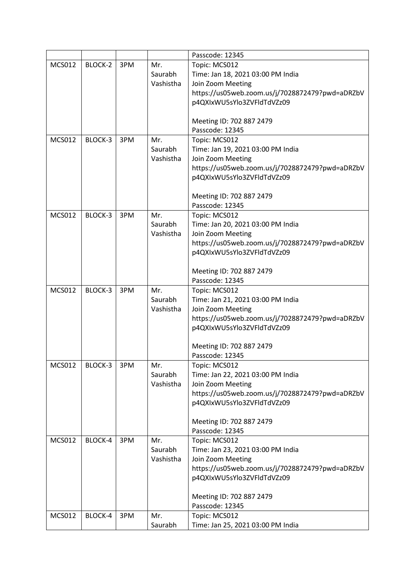|               |         |     |           | Passcode: 12345                                 |
|---------------|---------|-----|-----------|-------------------------------------------------|
| <b>MCS012</b> | BLOCK-2 | 3PM | Mr.       | Topic: MCS012                                   |
|               |         |     | Saurabh   | Time: Jan 18, 2021 03:00 PM India               |
|               |         |     | Vashistha | Join Zoom Meeting                               |
|               |         |     |           | https://us05web.zoom.us/j/7028872479?pwd=aDRZbV |
|               |         |     |           | p4QXIxWU5sYlo3ZVFldTdVZz09                      |
|               |         |     |           |                                                 |
|               |         |     |           | Meeting ID: 702 887 2479                        |
|               |         |     |           | Passcode: 12345                                 |
| <b>MCS012</b> | BLOCK-3 | 3PM | Mr.       | Topic: MCS012                                   |
|               |         |     | Saurabh   | Time: Jan 19, 2021 03:00 PM India               |
|               |         |     | Vashistha | Join Zoom Meeting                               |
|               |         |     |           | https://us05web.zoom.us/j/7028872479?pwd=aDRZbV |
|               |         |     |           | p4QXIxWU5sYlo3ZVFldTdVZz09                      |
|               |         |     |           |                                                 |
|               |         |     |           | Meeting ID: 702 887 2479                        |
|               |         |     |           | Passcode: 12345                                 |
| <b>MCS012</b> | BLOCK-3 | 3PM | Mr.       | Topic: MCS012                                   |
|               |         |     | Saurabh   | Time: Jan 20, 2021 03:00 PM India               |
|               |         |     | Vashistha | Join Zoom Meeting                               |
|               |         |     |           | https://us05web.zoom.us/j/7028872479?pwd=aDRZbV |
|               |         |     |           | p4QXIxWU5sYlo3ZVFldTdVZz09                      |
|               |         |     |           | Meeting ID: 702 887 2479                        |
|               |         |     |           | Passcode: 12345                                 |
| <b>MCS012</b> | BLOCK-3 | 3PM | Mr.       | Topic: MCS012                                   |
|               |         |     | Saurabh   | Time: Jan 21, 2021 03:00 PM India               |
|               |         |     | Vashistha | Join Zoom Meeting                               |
|               |         |     |           | https://us05web.zoom.us/j/7028872479?pwd=aDRZbV |
|               |         |     |           | p4QXIxWU5sYlo3ZVFldTdVZz09                      |
|               |         |     |           |                                                 |
|               |         |     |           | Meeting ID: 702 887 2479                        |
|               |         |     |           | Passcode: 12345                                 |
| <b>MCS012</b> | BLOCK-3 | 3PM | Mr.       | Topic: MCS012                                   |
|               |         |     | Saurabh   | Time: Jan 22, 2021 03:00 PM India               |
|               |         |     | Vashistha | Join Zoom Meeting                               |
|               |         |     |           | https://us05web.zoom.us/j/7028872479?pwd=aDRZbV |
|               |         |     |           | p4QXIxWU5sYlo3ZVFldTdVZz09                      |
|               |         |     |           |                                                 |
|               |         |     |           | Meeting ID: 702 887 2479                        |
|               |         |     |           | Passcode: 12345                                 |
| <b>MCS012</b> | BLOCK-4 | 3PM | Mr.       | Topic: MCS012                                   |
|               |         |     | Saurabh   | Time: Jan 23, 2021 03:00 PM India               |
|               |         |     | Vashistha | Join Zoom Meeting                               |
|               |         |     |           | https://us05web.zoom.us/j/7028872479?pwd=aDRZbV |
|               |         |     |           | p4QXIxWU5sYlo3ZVFldTdVZz09                      |
|               |         |     |           | Meeting ID: 702 887 2479                        |
|               |         |     |           | Passcode: 12345                                 |
| <b>MCS012</b> | BLOCK-4 | 3PM | Mr.       | Topic: MCS012                                   |
|               |         |     | Saurabh   | Time: Jan 25, 2021 03:00 PM India               |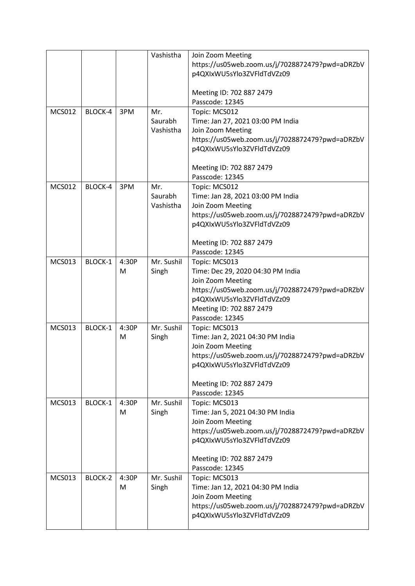|               |         |       | Vashistha  | Join Zoom Meeting                               |
|---------------|---------|-------|------------|-------------------------------------------------|
|               |         |       |            | https://us05web.zoom.us/j/7028872479?pwd=aDRZbV |
|               |         |       |            | p4QXIxWU5sYlo3ZVFldTdVZz09                      |
|               |         |       |            |                                                 |
|               |         |       |            | Meeting ID: 702 887 2479                        |
|               |         |       |            |                                                 |
|               |         |       |            | Passcode: 12345                                 |
| <b>MCS012</b> | BLOCK-4 | 3PM   | Mr.        | Topic: MCS012                                   |
|               |         |       | Saurabh    | Time: Jan 27, 2021 03:00 PM India               |
|               |         |       | Vashistha  | Join Zoom Meeting                               |
|               |         |       |            | https://us05web.zoom.us/j/7028872479?pwd=aDRZbV |
|               |         |       |            | p4QXIxWU5sYlo3ZVFldTdVZz09                      |
|               |         |       |            |                                                 |
|               |         |       |            | Meeting ID: 702 887 2479                        |
|               |         |       |            | Passcode: 12345                                 |
| <b>MCS012</b> | BLOCK-4 | 3PM   | Mr.        | Topic: MCS012                                   |
|               |         |       | Saurabh    | Time: Jan 28, 2021 03:00 PM India               |
|               |         |       | Vashistha  | Join Zoom Meeting                               |
|               |         |       |            |                                                 |
|               |         |       |            | https://us05web.zoom.us/j/7028872479?pwd=aDRZbV |
|               |         |       |            | p4QXIxWU5sYlo3ZVFldTdVZz09                      |
|               |         |       |            |                                                 |
|               |         |       |            | Meeting ID: 702 887 2479                        |
|               |         |       |            | Passcode: 12345                                 |
| <b>MCS013</b> | BLOCK-1 | 4:30P | Mr. Sushil | Topic: MCS013                                   |
|               |         | M     | Singh      | Time: Dec 29, 2020 04:30 PM India               |
|               |         |       |            | Join Zoom Meeting                               |
|               |         |       |            | https://us05web.zoom.us/j/7028872479?pwd=aDRZbV |
|               |         |       |            | p4QXIxWU5sYlo3ZVFldTdVZz09                      |
|               |         |       |            | Meeting ID: 702 887 2479                        |
|               |         |       |            | Passcode: 12345                                 |
| <b>MCS013</b> | BLOCK-1 | 4:30P | Mr. Sushil | Topic: MCS013                                   |
|               |         | М     | Singh      | Time: Jan 2, 2021 04:30 PM India                |
|               |         |       |            |                                                 |
|               |         |       |            | Join Zoom Meeting                               |
|               |         |       |            | https://us05web.zoom.us/j/7028872479?pwd=aDRZbV |
|               |         |       |            | p4QXIxWU5sYlo3ZVFldTdVZz09                      |
|               |         |       |            |                                                 |
|               |         |       |            | Meeting ID: 702 887 2479                        |
|               |         |       |            | Passcode: 12345                                 |
| <b>MCS013</b> | BLOCK-1 | 4:30P | Mr. Sushil | Topic: MCS013                                   |
|               |         | M     | Singh      | Time: Jan 5, 2021 04:30 PM India                |
|               |         |       |            | Join Zoom Meeting                               |
|               |         |       |            | https://us05web.zoom.us/j/7028872479?pwd=aDRZbV |
|               |         |       |            | p4QXIxWU5sYlo3ZVFldTdVZz09                      |
|               |         |       |            |                                                 |
|               |         |       |            | Meeting ID: 702 887 2479                        |
|               |         |       |            | Passcode: 12345                                 |
| <b>MCS013</b> | BLOCK-2 | 4:30P | Mr. Sushil | Topic: MCS013                                   |
|               |         |       |            |                                                 |
|               |         | M     | Singh      | Time: Jan 12, 2021 04:30 PM India               |
|               |         |       |            | Join Zoom Meeting                               |
|               |         |       |            | https://us05web.zoom.us/j/7028872479?pwd=aDRZbV |
|               |         |       |            | p4QXIxWU5sYlo3ZVFldTdVZz09                      |
|               |         |       |            |                                                 |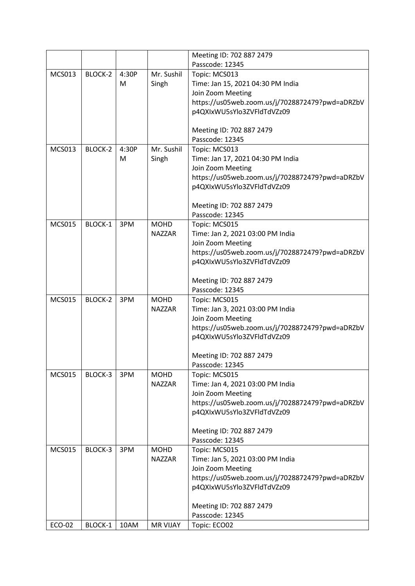|               |         |       |                 | Meeting ID: 702 887 2479                        |
|---------------|---------|-------|-----------------|-------------------------------------------------|
|               |         |       |                 | Passcode: 12345                                 |
| <b>MCS013</b> | BLOCK-2 | 4:30P | Mr. Sushil      | Topic: MCS013                                   |
|               |         | M     | Singh           | Time: Jan 15, 2021 04:30 PM India               |
|               |         |       |                 | Join Zoom Meeting                               |
|               |         |       |                 | https://us05web.zoom.us/j/7028872479?pwd=aDRZbV |
|               |         |       |                 | p4QXIxWU5sYlo3ZVFldTdVZz09                      |
|               |         |       |                 |                                                 |
|               |         |       |                 | Meeting ID: 702 887 2479                        |
|               |         |       |                 | Passcode: 12345                                 |
| <b>MCS013</b> | BLOCK-2 | 4:30P | Mr. Sushil      | Topic: MCS013                                   |
|               |         | M     | Singh           | Time: Jan 17, 2021 04:30 PM India               |
|               |         |       |                 | Join Zoom Meeting                               |
|               |         |       |                 | https://us05web.zoom.us/j/7028872479?pwd=aDRZbV |
|               |         |       |                 | p4QXIxWU5sYlo3ZVFldTdVZz09                      |
|               |         |       |                 |                                                 |
|               |         |       |                 | Meeting ID: 702 887 2479                        |
|               |         |       |                 | Passcode: 12345                                 |
| <b>MCS015</b> | BLOCK-1 | 3PM   | <b>MOHD</b>     | Topic: MCS015                                   |
|               |         |       | <b>NAZZAR</b>   | Time: Jan 2, 2021 03:00 PM India                |
|               |         |       |                 | Join Zoom Meeting                               |
|               |         |       |                 | https://us05web.zoom.us/j/7028872479?pwd=aDRZbV |
|               |         |       |                 | p4QXIxWU5sYlo3ZVFldTdVZz09                      |
|               |         |       |                 |                                                 |
|               |         |       |                 | Meeting ID: 702 887 2479                        |
|               |         |       |                 | Passcode: 12345                                 |
| <b>MCS015</b> | BLOCK-2 | 3PM   | <b>MOHD</b>     | Topic: MCS015                                   |
|               |         |       | <b>NAZZAR</b>   | Time: Jan 3, 2021 03:00 PM India                |
|               |         |       |                 | Join Zoom Meeting                               |
|               |         |       |                 | https://us05web.zoom.us/j/7028872479?pwd=aDRZbV |
|               |         |       |                 | p4QXIxWU5sYlo3ZVFldTdVZz09                      |
|               |         |       |                 |                                                 |
|               |         |       |                 | Meeting ID: 702 887 2479                        |
|               |         |       |                 | Passcode: 12345                                 |
| <b>MCS015</b> | BLOCK-3 | 3PM   | <b>MOHD</b>     | Topic: MCS015                                   |
|               |         |       | <b>NAZZAR</b>   | Time: Jan 4, 2021 03:00 PM India                |
|               |         |       |                 | Join Zoom Meeting                               |
|               |         |       |                 | https://us05web.zoom.us/j/7028872479?pwd=aDRZbV |
|               |         |       |                 | p4QXIxWU5sYlo3ZVFldTdVZz09                      |
|               |         |       |                 |                                                 |
|               |         |       |                 | Meeting ID: 702 887 2479                        |
|               |         |       |                 | Passcode: 12345                                 |
| <b>MCS015</b> | BLOCK-3 | 3PM   | <b>MOHD</b>     | Topic: MCS015                                   |
|               |         |       | <b>NAZZAR</b>   | Time: Jan 5, 2021 03:00 PM India                |
|               |         |       |                 | Join Zoom Meeting                               |
|               |         |       |                 | https://us05web.zoom.us/j/7028872479?pwd=aDRZbV |
|               |         |       |                 | p4QXIxWU5sYlo3ZVFldTdVZz09                      |
|               |         |       |                 | Meeting ID: 702 887 2479                        |
|               |         |       |                 | Passcode: 12345                                 |
| ECO-02        | BLOCK-1 | 10AM  | <b>MR VIJAY</b> | Topic: ECO02                                    |
|               |         |       |                 |                                                 |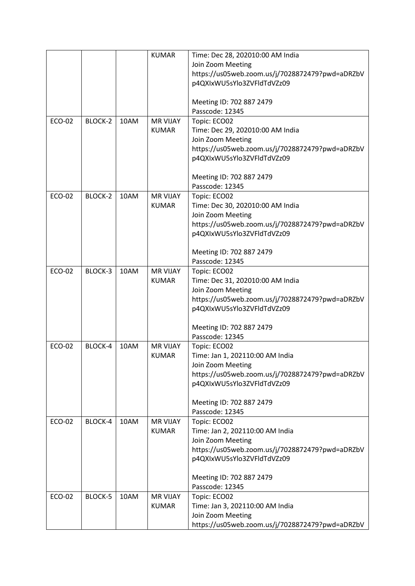|        |         |      | <b>KUMAR</b>    | Time: Dec 28, 202010:00 AM India                     |
|--------|---------|------|-----------------|------------------------------------------------------|
|        |         |      |                 | Join Zoom Meeting                                    |
|        |         |      |                 | https://us05web.zoom.us/j/7028872479?pwd=aDRZbV      |
|        |         |      |                 | p4QXIxWU5sYlo3ZVFldTdVZz09                           |
|        |         |      |                 |                                                      |
|        |         |      |                 | Meeting ID: 702 887 2479                             |
|        |         |      |                 | Passcode: 12345                                      |
| ECO-02 | BLOCK-2 | 10AM | <b>MR VIJAY</b> | Topic: ECO02                                         |
|        |         |      | <b>KUMAR</b>    | Time: Dec 29, 202010:00 AM India                     |
|        |         |      |                 | Join Zoom Meeting                                    |
|        |         |      |                 | https://us05web.zoom.us/j/7028872479?pwd=aDRZbV      |
|        |         |      |                 | p4QXIxWU5sYlo3ZVFldTdVZz09                           |
|        |         |      |                 |                                                      |
|        |         |      |                 | Meeting ID: 702 887 2479                             |
|        |         |      |                 | Passcode: 12345                                      |
| ECO-02 | BLOCK-2 | 10AM | <b>MR VIJAY</b> | Topic: ECO02                                         |
|        |         |      | <b>KUMAR</b>    | Time: Dec 30, 202010:00 AM India                     |
|        |         |      |                 | Join Zoom Meeting                                    |
|        |         |      |                 | https://us05web.zoom.us/j/7028872479?pwd=aDRZbV      |
|        |         |      |                 | p4QXIxWU5sYlo3ZVFldTdVZz09                           |
|        |         |      |                 |                                                      |
|        |         |      |                 | Meeting ID: 702 887 2479                             |
|        |         |      |                 | Passcode: 12345                                      |
| ECO-02 | BLOCK-3 | 10AM | <b>MR VIJAY</b> | Topic: ECO02                                         |
|        |         |      | <b>KUMAR</b>    | Time: Dec 31, 202010:00 AM India                     |
|        |         |      |                 | Join Zoom Meeting                                    |
|        |         |      |                 | https://us05web.zoom.us/j/7028872479?pwd=aDRZbV      |
|        |         |      |                 | p4QXIxWU5sYlo3ZVFldTdVZz09                           |
|        |         |      |                 |                                                      |
|        |         |      |                 | Meeting ID: 702 887 2479                             |
|        |         |      |                 | Passcode: 12345                                      |
| ECO-02 | BLOCK-4 | 10AM | <b>MR VIJAY</b> | Topic: ECO02                                         |
|        |         |      | <b>KUMAR</b>    | Time: Jan 1, 202110:00 AM India<br>Join Zoom Meeting |
|        |         |      |                 | https://us05web.zoom.us/j/7028872479?pwd=aDRZbV      |
|        |         |      |                 | p4QXIxWU5sYlo3ZVFldTdVZz09                           |
|        |         |      |                 |                                                      |
|        |         |      |                 | Meeting ID: 702 887 2479                             |
|        |         |      |                 | Passcode: 12345                                      |
| ECO-02 | BLOCK-4 | 10AM | <b>MR VIJAY</b> | Topic: ECO02                                         |
|        |         |      | <b>KUMAR</b>    | Time: Jan 2, 202110:00 AM India                      |
|        |         |      |                 | Join Zoom Meeting                                    |
|        |         |      |                 | https://us05web.zoom.us/j/7028872479?pwd=aDRZbV      |
|        |         |      |                 | p4QXIxWU5sYlo3ZVFldTdVZz09                           |
|        |         |      |                 |                                                      |
|        |         |      |                 | Meeting ID: 702 887 2479                             |
|        |         |      |                 | Passcode: 12345                                      |
| ECO-02 | BLOCK-5 | 10AM | <b>MR VIJAY</b> | Topic: ECO02                                         |
|        |         |      | <b>KUMAR</b>    | Time: Jan 3, 202110:00 AM India                      |
|        |         |      |                 | Join Zoom Meeting                                    |
|        |         |      |                 | https://us05web.zoom.us/j/7028872479?pwd=aDRZbV      |